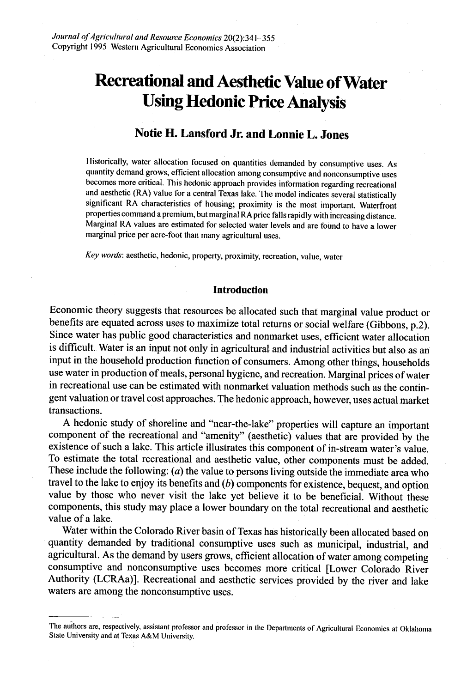# **Recreational and Aesthetic Value of Water Using Hedonic Price Analysis**

# **Notie H. Lansford Jr. and Lonnie L. Jones**

Historically, water allocation focused on quantities demanded by consumptive uses. As quantity demand grows, efficient allocation among consumptive and nonconsumptive uses becomes more critical. This hedonic approach provides information regarding recreational and aesthetic (RA) value for a central Texas lake. The model indicates several statistically significant RA characteristics of housing; proximity is the most important. Waterfront properties command a premium, but marginal RA price falls rapidly with increasing distance. Marginal RA values are estimated for selected water levels and are found to have a lower marginal price per acre-foot than many agricultural uses.

*Key words:* aesthetic, hedonic, property, proximity, recreation, value, water

## **Introduction**

Economic theory suggests that resources be allocated such that marginal value product or benefits are equated across uses to maximize total returns or social welfare (Gibbons, p.2). Since water has public good characteristics and nonmarket uses, efficient water allocation is difficult. Water is an input not only in agricultural and industrial activities but also as an input in the household production function of consumers. Among other things, households use water in production of meals, personal hygiene, and recreation. Marginal prices of water in recreational use can be estimated with nonmarket valuation methods such as the contingent valuation or travel cost approaches. The hedonic approach, however, uses actual market transactions.

A hedonic study of shoreline and "near-the-lake" properties will capture an important component of the recreational and "amenity" (aesthetic) values that are provided by the existence of such a lake. This article illustrates this component of in-stream water's value. To estimate the total recreational and aesthetic value, other components must be added. These include the following: (*a*) the value to persons living outside the immediate area who travel to the lake to enjoy its benefits and (*b*) components for existence, bequest, and option value by those who never visit the lake yet believe it to be beneficial. Without these components, this study may place a lower boundary on the total recreational and aesthetic value of a lake.

Water within the Colorado River basin of Texas has historically been allocated based on quantity demanded by traditional consumptive uses such as municipal, industrial, and agricultural. As the demand by users grows, efficient allocation of water among competing consumptive and nonconsumptive uses becomes more critical [Lower Colorado River Authority (LCRAa)]. Recreational and aesthetic services provided by the river and lake waters are among the nonconsumptive uses.

The authors are, respectively, assistant professor and professor in the Departments of Agricultural Economics at Oklahoma State University and at Texas A&M University.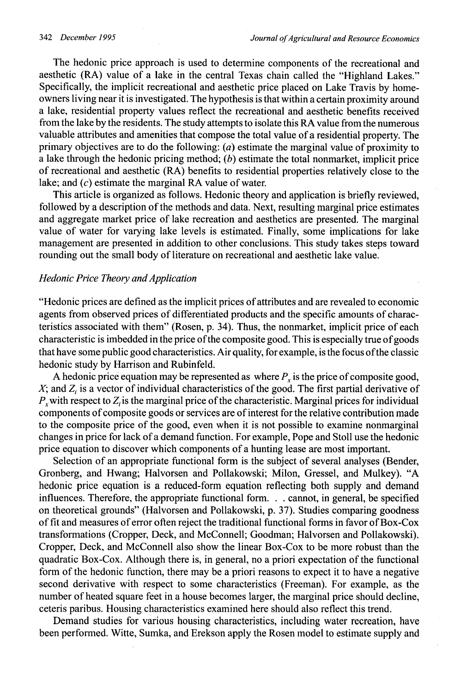The hedonic price approach is used to determine components of the recreational and aesthetic (RA) value of a lake in the central Texas chain called the "Highland Lakes." Specifically, the implicit recreational and aesthetic price placed on Lake Travis by homeowners living near it is investigated. The hypothesis is that within a certain proximity around a lake, residential property values reflect the recreational and aesthetic benefits received from the lake by the residents. The study attempts to isolate this RA value from the numerous valuable attributes and amenities that compose the total value of a residential property. The primary objectives are to do the following: *(a)* estimate the marginal value of proximity to a lake through the hedonic pricing method; *(b)* estimate the total nonmarket, implicit price of recreational and aesthetic (RA) benefits to residential properties relatively close to the lake; and *(c)* estimate the marginal RA value of water.

This article is organized as follows. Hedonic theory and application is briefly reviewed, followed by a description of the methods and data. Next, resulting marginal price estimates and aggregate market price of lake recreation and aesthetics are presented. The marginal value of water for varying lake levels is estimated. Finally, some implications for lake management are presented in addition to other conclusions. This study takes steps toward rounding out the small body of literature on recreational and aesthetic lake value.

## *Hedonic Price Theory and Application*

"Hedonic prices are defined as the implicit prices of attributes and are revealed to economic agents from observed prices of differentiated products and the specific amounts of characteristics associated with them" (Rosen, p. 34). Thus, the nonmarket, implicit price of each characteristic is imbedded in the price of the composite good. This is especially true of goods that have some public good characteristics. Air quality, for example, is the focus of the classic hedonic study by Harrison and Rubinfeld.

A hedonic price equation may be represented as where  $P<sub>x</sub>$  is the price of composite good,  $X$ ; and  $Z_i$  is a vector of individual characteristics of the good. The first partial derivative of  $P<sub>x</sub>$  with respect to  $Z<sub>i</sub>$  is the marginal price of the characteristic. Marginal prices for individual components of composite goods or services are of interest for the relative contribution made to the composite price of the good, even when it is not possible to examine nonmarginal changes in price for lack of a demand function. For example, Pope and Stoll use the hedonic price equation to discover which components of a hunting lease are most important.

Selection of an appropriate functional form is the subject of several analyses (Bender, Gronberg, and Hwang; Halvorsen and Pollakowski; Milon, Gressel, and Mulkey). "A hedonic price equation is a reduced-form equation reflecting both supply and demand influences. Therefore, the appropriate functional form. . . cannot, in general, be specified on theoretical grounds" (Halvorsen and Pollakowski, p. 37). Studies comparing goodness of fit and measures of error often reject the traditional functional forms in favor of Box-Cox transformations (Cropper, Deck, and McConnell; Goodman; Halvorsen and Pollakowski). Cropper, Deck, and McConnell also show the linear Box-Cox to be more robust than the quadratic Box-Cox. Although there is, in general, no a priori expectation of the functional form of the hedonic function, there may be a priori reasons to expect it to have a negative second derivative with respect to some characteristics (Freeman). For example, as the number of heated square feet in a house becomes larger, the marginal price should decline, ceteris paribus. Housing characteristics examined here should also reflect this trend.

Demand studies for various housing characteristics, including water recreation, have been performed. Witte, Sumka, and Erekson apply the Rosen model to estimate supply and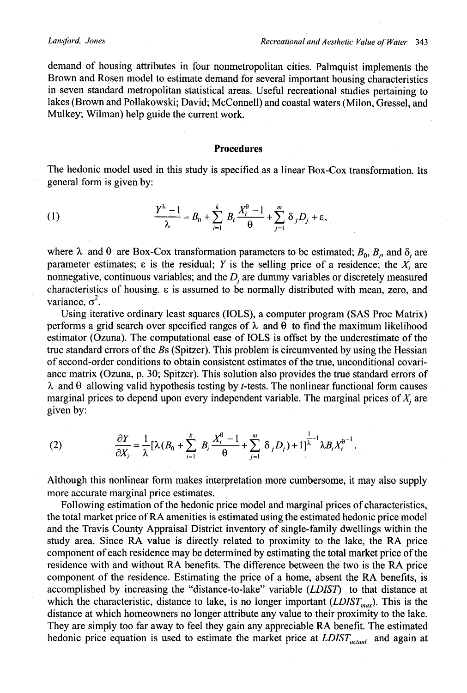demand of housing attributes in four nonmetropolitan cities. Palmquist implements the Brown and Rosen model to estimate demand for several important housing characteristics in seven standard metropolitan statistical areas. Useful recreational studies pertaining to lakes (Brown and Pollakowski; David; McConnell) and coastal waters (Milon, Gressel, and Mulkey; Wilman) help guide the current work.

### **Procedures**

The hedonic model used in this study is specified as a linear Box-Cox transformation. Its general form is given by:

(1) 
$$
\frac{Y^{\lambda}-1}{\lambda}=B_0+\sum_{i=1}^k B_i\frac{X_i^{\theta}-1}{\theta}+\sum_{j=1}^m \delta_j D_j+\varepsilon,
$$

where  $\lambda$  and  $\theta$  are Box-Cox transformation parameters to be estimated;  $B_0$ ,  $B_i$ , and  $\delta_i$  are parameter estimates;  $\varepsilon$  is the residual; Y is the selling price of a residence; the  $X_i$  are nonnegative, continuous variables; and the  $D_i$  are dummy variables or discretely measured characteristics of housing. e is assumed to be normally distributed with mean, zero, and variance,  $\sigma^2$ .

Using iterative ordinary least squares (IOLS), a computer program (SAS Proc Matrix) performs a grid search over specified ranges of  $\lambda$  and  $\theta$  to find the maximum likelihood estimator (Ozuna). The computational ease of IOLS is offset by the underestimate of the true standard errors of the *Bs* (Spitzer). This problem is circumvented by using the Hessian of second-order conditions to obtain consistent estimates of the true, unconditional covariance matrix (Ozuna, p. 30; Spitzer). This solution also provides the true standard errors of  $\lambda$  and  $\theta$  allowing valid hypothesis testing by *t*-tests. The nonlinear functional form causes marginal prices to depend upon every independent variable. The marginal prices of  $X_i$  are given by:

(2) 
$$
\frac{\partial Y}{\partial X_{i}} = \frac{1}{\lambda} [\lambda (B_0 + \sum_{i=1}^k B_i \frac{X_i^0 - 1}{\theta} + \sum_{j=1}^m \delta_j D_j) + 1]^{1/2} \lambda B_i X_i^{\theta^{-1}}.
$$

Although this nonlinear form makes interpretation more cumbersome, it may also supply more accurate marginal price estimates.

Following estimation of the hedonic price model and marginal prices of characteristics, the total market price of RA amenities is estimated using the estimated hedonic price model and the Travis County Appraisal District inventory of single-family dwellings within the study area. Since RA value is directly related to proximity to the lake, the RA price component of each residence may be determined by estimating the total market price of the residence with and without RA benefits. The difference between the two is the RA price component of the residence. Estimating the price of a home, absent the RA benefits, is accomplished by increasing the "distance-to-lake" variable *(LDIST)* to that distance at which the characteristic, distance to lake, is no longer important  $(LDIST_{max})$ . This is the distance at which homeowners no longer attribute any value to their proximity to the lake. They are simply too far away to feel they gain any appreciable RA benefit. The estimated hedonic price equation is used to estimate the market price at  $LDIST_{actual}$  and again at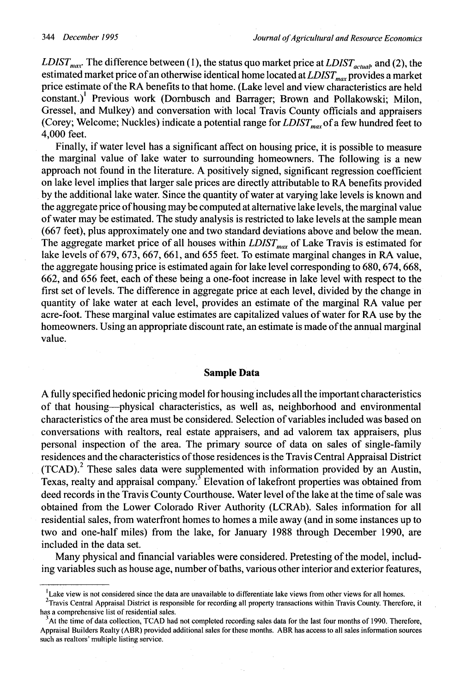*LDIST<sub>max</sub>*. The difference between (1), the status quo market price at *LDIST<sub>actual</sub>*, and (2), the estimated market price of an otherwise identical home located at *LDIST<sub>max</sub>* provides a market price estimate of the RA benefits to that home. (Lake level and view characteristics are held constant.)<sup>1</sup> Previous work (Dornbusch and Barrager; Brown and Pollakowski; Milon, Gressel, and Mulkey) and conversation with local Travis County officials and appraisers (Corey; Welcome; Nuckles) indicate a potential range for *LDIST<sub>max</sub>* of a few hundred feet to 4,000 feet.

Finally, if water level has a significant affect on housing price, it is possible to measure the marginal value of lake water to surrounding homeowners. The following is a new approach not found in the literature. A positively signed, significant regression coefficient on lake level implies that larger sale prices are directly attributable to RA benefits provided by the additional lake water. Since the quantity of water at varying lake levels is known and the aggregate price of housing may be computed at alternative lake levels, the marginal value of water may be estimated. The study analysis is restricted to lake levels at the sample mean (667 feet), plus approximately one and two standard deviations above and below the mean. The aggregate market price of all houses within  $LDIST<sub>max</sub>$  of Lake Travis is estimated for lake levels of 679, 673, 667, 661, and 655 feet. To estimate marginal changes in RA value, the aggregate housing price is estimated again for lake level corresponding to 680, 674, 668, 662, and 656 feet, each of these being a one-foot increase in lake level with respect to the first set of levels. The difference in aggregate price at each level, divided by the change in quantity of lake water at each level, provides an estimate of the marginal RA value per acre-foot. These marginal value estimates are capitalized values of water for RA use by the homeowners. Using an appropriate discount rate, an estimate is made of the annual marginal value.

## **Sample Data**

A fully specified hedonic pricing model for housing includes all the important characteristics of that housing-physical characteristics, as well as, neighborhood and environmental characteristics of the area must be considered. Selection of variables included was based on conversations with realtors, real estate appraisers, and ad valorem tax appraisers, plus personal inspection of the area. The primary source of data on sales of single-family residences and the characteristics of those residences is the Travis Central Appraisal District (TCAD). <sup>2</sup> These sales data were supplemented with information provided by an Austin, Texas, realty and appraisal company.<sup>3</sup> Elevation of lakefront properties was obtained from deed records in the Travis County Courthouse. Water level of the lake at the time of sale was obtained from the Lower Colorado River Authority (LCRAb). Sales information for all residential sales, from waterfront homes to homes a mile away (and in some instances up to two and one-half miles) from the lake, for January 1988 through December 1990, are included in the data set.

Many physical and financial variables were considered. Pretesting of the model, including variables such as house age, number of baths, various other interior and exterior features,

Lake view is not considered since the data are unavailable to differentiate lake views from other views for all homes.

 $2$ Travis Central Appraisal District is responsible for recording all property transactions within Travis County. Therefore, it has a comprehensive list of residential sales.

<sup>&</sup>lt;sup>3</sup>At the time of data collection, TCAD had not completed recording sales data for the last four months of 1990. Therefore, Appraisal Builders Realty (ABR) provided additional sales for these months. ABR has access to all sales information sources such as realtors' multiple listing service.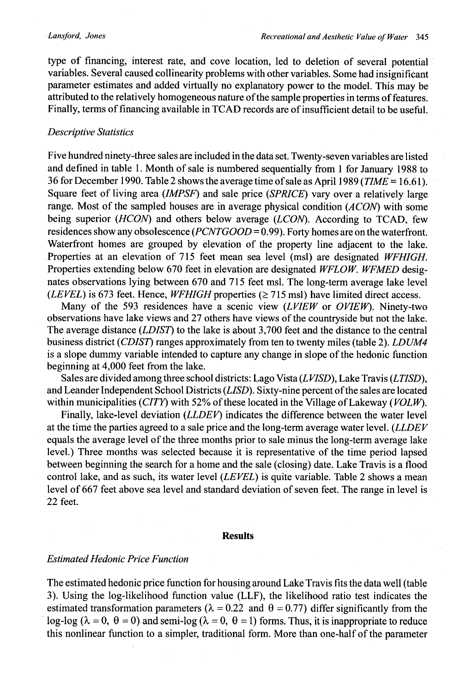type of financing, interest rate, and cove location, led to deletion of several potential variables. Several caused collinearity problems with other variables. Some had insignificant parameter estimates and added virtually no explanatory power to the model. This may be attributed to the relatively homogeneous nature of the sample properties in terms of features. Finally, terms of financing available in TCAD records are of insufficient detail to be useful.

#### *Descriptive Statistics*

Five hundred ninety-three sales are included in the data set. Twenty-seven variables are listed and defined in table 1. Month of sale is numbered sequentially from 1 for January 1988 to 36 for December 1990. Table 2 shows the average time of sale as April 1989 *(TIME =* 16.61). Square feet of living area *(IMPSF)* and sale price *(SPRICE)* vary over a relatively large range. Most of the sampled houses are in average physical condition *(ACON)* with some being superior *(HCON)* and others below average *(LCON).* According to TCAD, few residences show any obsolescence *(PCNTGOOD =* 0.99). Forty homes are on the waterfront. Waterfront homes are grouped by elevation of the property line adjacent to the lake. Properties at an elevation of 715 feet mean sea level (msl) are designated *WFHIGH.* Properties extending below 670 feet in elevation are designated *WFLOW. WFMED* designates observations lying between 670 and 715 feet msl. The long-term average lake level *(LEVEL)* is 673 feet. Hence, *WFHIGH* properties ( $\geq$  715 msl) have limited direct access.

Many of the 593 residences have a scenic view *(LVIEW* or *OVIEW).* Ninety-two observations have lake views and 27 others have views of the countryside but not the lake. The average distance *(LDIST)* to the lake is about 3,700 feet and the distance to the central business district *(CDIST)* ranges approximately from ten to twenty miles (table 2). *LDUM4* is a slope dummy variable intended to capture any change in slope of the hedonic function beginning at 4,000 feet from the lake.

Sales are divided among three school districts: Lago Vista *(LVISD),* Lake Travis *(LTISD),* and Leander Independent School Districts *(LISD).* Sixty-nine percent of the sales are located within municipalities *(CITY)* with 52% of these located in the Village of Lakeway *(VOL* W).

Finally, lake-level deviation *(LLDEV)* indicates the difference between the water level at the time the parties agreed to a sale price and the long-term average water level. *(LLDEV* equals the average level of the three months prior to sale minus the long-term average lake level.) Three months was selected because it is representative of the time period lapsed between beginning the search for a home and the sale (closing) date. Lake Travis is a flood control lake, and as such, its water level *(LEVEL)* is quite variable. Table 2 shows a mean level of 667 feet above sea level and standard deviation of seven feet. The range in level is 22 feet.

#### **Results**

## *Estimated Hedonic Price Function*

The estimated hedonic price function for housing around Lake Travis fits the data well (table 3). Using the log-likelihood function value (LLF), the likelihood ratio test indicates the estimated transformation parameters ( $\lambda = 0.22$  and  $\theta = 0.77$ ) differ significantly from the log-log ( $\lambda = 0$ ,  $\theta = 0$ ) and semi-log ( $\lambda = 0$ ,  $\theta = 1$ ) forms. Thus, it is inappropriate to reduce this nonlinear function to a simpler, traditional form. More than one-half of the parameter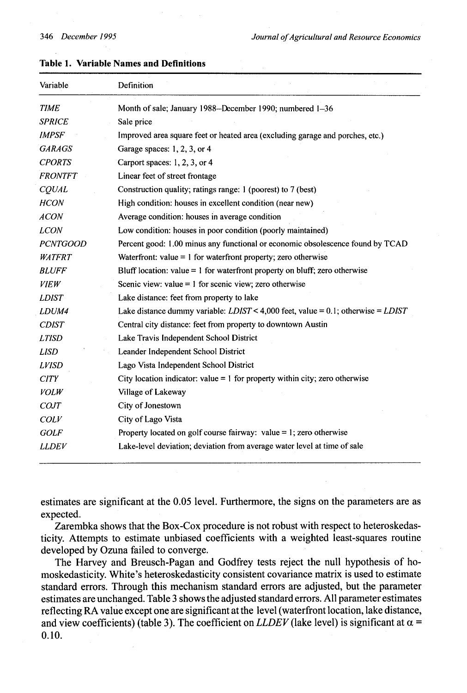| Variable            | Definition                                                                           |
|---------------------|--------------------------------------------------------------------------------------|
| <b>TIME</b>         | Month of sale; January 1988-December 1990; numbered 1-36                             |
| <b>SPRICE</b>       | Sale price                                                                           |
| <i><b>IMPSF</b></i> | Improved area square feet or heated area (excluding garage and porches, etc.)        |
| <b>GARAGS</b>       | Garage spaces: 1, 2, 3, or 4                                                         |
| <b>CPORTS</b>       | Carport spaces: 1, 2, 3, or 4                                                        |
| <b>FRONTFT</b>      | Linear feet of street frontage                                                       |
| CQUAL               | Construction quality; ratings range: 1 (poorest) to 7 (best)                         |
| <b>HCON</b>         | High condition: houses in excellent condition (near new)                             |
| <b>ACON</b>         | Average condition: houses in average condition                                       |
| <b>LCON</b>         | Low condition: houses in poor condition (poorly maintained)                          |
| <b>PCNTGOOD</b>     | Percent good: 1.00 minus any functional or economic obsolescence found by TCAD       |
| <b>WATFRT</b>       | Waterfront: value $= 1$ for waterfront property; zero otherwise                      |
| <b>BLUFF</b>        | Bluff location: value $= 1$ for waterfront property on bluff; zero otherwise         |
| <b>VIEW</b>         | Scenic view: value = $1$ for scenic view; zero otherwise                             |
| <b>LDIST</b>        | Lake distance: feet from property to lake                                            |
| LDUM4               | Lake distance dummy variable: $LDIST < 4,000$ feet, value = 0.1; otherwise = $LDIST$ |
| <b>CDIST</b>        | Central city distance: feet from property to downtown Austin                         |
| <b>LTISD</b>        | Lake Travis Independent School District                                              |
| <b>LISD</b>         | Leander Independent School District                                                  |
| <b>LVISD</b>        | Lago Vista Independent School District                                               |
| <b>CITY</b>         | City location indicator: value = $1$ for property within city; zero otherwise        |
| <b>VOLW</b>         | Village of Lakeway                                                                   |
| <b>COJT</b>         | City of Jonestown                                                                    |
| <b>COLV</b>         | City of Lago Vista                                                                   |
| <b>GOLF</b>         | Property located on golf course fairway: value $= 1$ ; zero otherwise                |
| <b>LLDEV</b>        | Lake-level deviation; deviation from average water level at time of sale             |

## **Table 1. Variable Names and Definitions**

estimates are significant at the 0.05 level. Furthermore, the signs on the parameters are as expected.

Zarembka shows that the Box-Cox procedure is not robust with respect to heteroskedasticity. Attempts to estimate unbiased coefficients with a weighted least-squares routine developed by Ozuna failed to converge.

The Harvey and Breusch-Pagan and Godfrey tests reject the null hypothesis of homoskedasticity. White's heteroskedasticity consistent covariance matrix is used to estimate standard errors. Through this mechanism standard errors are adjusted, but the parameter estimates are unchanged. Table 3 shows the adjusted standard errors. All parameter estimates reflecting RA value except one are significant at the level (waterfront location, lake distance, and view coefficients) (table 3). The coefficient on *LLDEV* (lake level) is significant at  $\alpha$  = 0.10.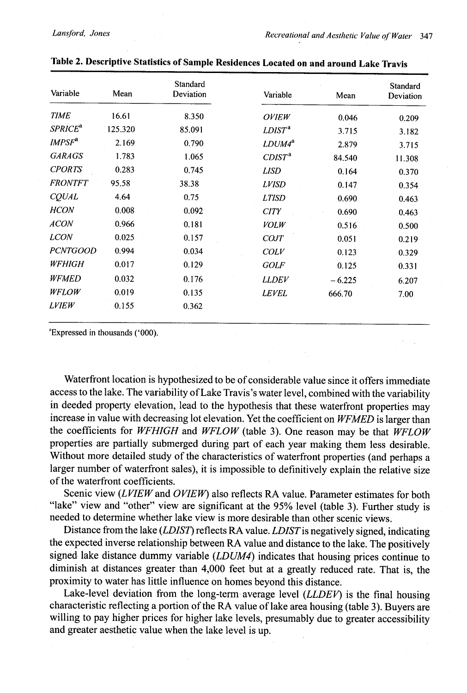| Variable                  | Mean    | Standard<br>Deviation | Variable           | Mean     | <b>Standard</b><br>Deviation |
|---------------------------|---------|-----------------------|--------------------|----------|------------------------------|
| <b>TIME</b>               | 16.61   | 8.350                 | <b>OVIEW</b>       | 0.046    | 0.209                        |
| <b>SPRICE<sup>a</sup></b> | 125.320 | 85.091                | LDIST <sup>a</sup> | 3.715    | 3.182                        |
| IMPSF <sup>a</sup>        | 2.169   | 0.790                 | $LDUM4^a$          | 2.879    | 3.715                        |
| <b>GARAGS</b>             | 1.783   | 1.065                 | CDIST <sup>a</sup> | 84.540   | 11.308                       |
| <b>CPORTS</b>             | 0.283   | 0.745                 | <b>LISD</b>        | 0.164    | 0.370                        |
| <b>FRONTFT</b>            | 95.58   | 38.38                 | <b>LVISD</b>       | 0.147    | 0.354                        |
| CQUAL                     | 4.64    | 0.75                  | <b>LTISD</b>       | 0.690    | 0.463                        |
| <b>HCON</b>               | 0.008   | 0.092                 | <b>CITY</b>        | 0.690    | 0.463                        |
| <b>ACON</b>               | 0.966   | 0.181                 | <b>VOLW</b>        | 0.516    | 0.500                        |
| <b>LCON</b>               | 0.025   | 0.157                 | <b>COJT</b>        | 0.051    | 0.219                        |
| <b>PCNTGOOD</b>           | 0.994   | 0.034                 | COLV               | 0.123    | 0.329                        |
| <b>WFHIGH</b>             | 0.017   | 0.129                 | <b>GOLF</b>        | 0.125    | 0.331                        |
| <b>WFMED</b>              | 0.032   | 0.176                 | <b>LLDEV</b>       | $-6.225$ | 6.207                        |
| <b>WFLOW</b>              | 0.019   | 0.135                 | <b>LEVEL</b>       | 666.70   | 7.00                         |
| <i>LVIEW</i>              | 0.155   | 0.362                 |                    |          |                              |

| Table 2. Descriptive Statistics of Sample Residences Located on and around Lake Travis |  |
|----------------------------------------------------------------------------------------|--|
|----------------------------------------------------------------------------------------|--|

"Expressed in thousands ('000).

Waterfront location is hypothesized to be of considerable value since it offers immediate access to the lake. The variability of Lake Travis's water level, combined with the variability in deeded property elevation, lead to the hypothesis that these waterfront properties may increase in value with decreasing lot elevation. Yet the coefficient on *WFMED* is larger than the coefficients for *WFHIGH* and *WFLOW* (table 3). One reason may be that *WFLOW* properties are partially submerged during part of each year making them less desirable. Without more detailed study of the characteristics of waterfront properties (and perhaps a larger number of waterfront sales), it is impossible to definitively explain the relative size of the waterfront coefficients.

Scenic view *(LVIEW* and *OVIEW)* also reflects RA value. Parameter estimates for both "lake" view and "other" view are significant at the 95% level (table 3). Further study is needed to determine whether lake view is more desirable than other scenic views.

Distance from the lake *(LDIST)* reflects RA value. *LDISTis* negatively signed, indicating the expected inverse relationship between RA value and distance to the lake. The positively signed lake distance dummy variable *(LDUM4)* indicates that housing prices continue to diminish at distances greater than 4,000 feet but at a greatly reduced rate. That is, the proximity to water has little influence on homes beyond this distance.

Lake-level deviation from the long-term average level *(LLDEV)* is the final housing characteristic reflecting a portion of the RA value of lake area housing (table 3). Buyers are willing to pay higher prices for higher lake levels, presumably due to greater accessibility and greater aesthetic value when the lake level is up.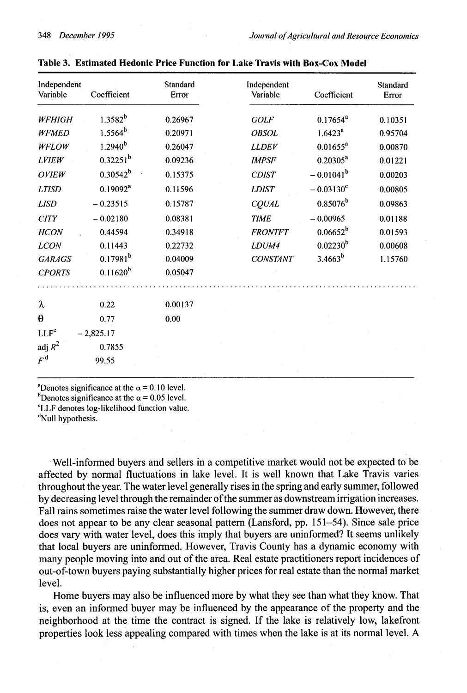| Independent<br>Variable | Coefficient   | <b>Standard</b><br>Error | Independent<br>Variable | Coefficient             | <b>Standard</b><br>Error |
|-------------------------|---------------|--------------------------|-------------------------|-------------------------|--------------------------|
| <b>WFHIGH</b>           | $1.3582^{b}$  | 0.26967                  | <b>GOLF</b>             | $0.17654^a$             | 0.10351                  |
| <b>WFMED</b>            | $1.5564^{b}$  | 0.20971                  | <b>OBSOL</b>            | 1.6423 <sup>a</sup>     | 0.95704                  |
| WFLOW                   | $1.2940^{b}$  | 0.26047                  | <b>LLDEV</b>            | $0.01655^a$             | 0.00870                  |
| <b>LVIEW</b>            | $0.32251^{b}$ | 0.09236                  | <b>IMPSF</b>            | $0.20305^a$             | 0.01221                  |
| <b>OVIEW</b>            | $0.30542^b$   | 0.15375                  | <b>CDIST</b>            | $-0.01041$ <sup>b</sup> | 0.00203                  |
| <b>LTISD</b>            | $0.19092^a$   | 0.11596                  | <b>LDIST</b>            | $-0.03130^{\circ}$      | 0.00805                  |
| <b>LISD</b>             | $-0.23515$    | 0.15787                  | CQUAL                   | $0.85076^{b}$           | 0.09863                  |
| <b>CITY</b>             | $-0.02180$    | 0.08381                  | <b>TIME</b>             | $-0.00965$              | 0.01188                  |
| <b>HCON</b>             | 0.44594       | 0.34918                  | <b>FRONTFT</b>          | $0.06652^b$             | 0.01593                  |
| <b>LCON</b>             | 0.11443       | 0.22732                  | LDUM4                   | $0.02230^{b}$           | 0.00608                  |
| <b>GARAGS</b>           | $0.17981^{b}$ | 0.04009                  | <b>CONSTANT</b>         | $3.4663^{b}$            | 1.15760                  |
| <b>CPORTS</b>           | $0.11620^{b}$ | 0.05047                  |                         |                         |                          |
|                         |               |                          |                         |                         |                          |
| λ                       | 0.22          | 0.00137                  |                         |                         |                          |
| $\theta$                | 0.77          | 0.00                     |                         |                         |                          |
| LLF <sup>c</sup>        | $-2,825.17$   |                          |                         |                         |                          |
| adj $R^2$               | 0.7855        |                          |                         |                         |                          |
| $F^{\rm d}$             | 99.55         |                          |                         |                         |                          |
|                         |               |                          |                         |                         |                          |

| Table 3. Estimated Hedonic Price Function for Lake Travis with Box-Cox Mode |  |
|-----------------------------------------------------------------------------|--|
|-----------------------------------------------------------------------------|--|

<sup>a</sup>Denotes significance at the  $\alpha$  = 0.10 level. <sup>b</sup>Denotes significance at the  $\alpha$  = 0.05 level. CLLF denotes log-likelihood function value.

<sup>d</sup>Null hypothesis.

Well-informed buyers and sellers in a competitive market would not be expected to be affected by normal fluctuations in lake level. It is well known that Lake Travis varies throughout the year. The water level generally rises in the spring and early summer, followed by decreasing level through the remainder of the summer as downstream irrigation increases. Fall rains sometimes raise the water level following the summer draw down. However, there does not appear to be any clear seasonal pattern (Lansford, pp. 151-54). Since sale price does vary with water level, does this imply that buyers are uninformed? It seems unlikely that local buyers are uninformed. However, Travis County has a dynamic economy with many people moving into and out of the area. Real estate practitioners report incidences of out-of-town buyers paying substantially higher prices for real estate than the normal market level.

Home buyers may also be influenced more by what they see than what they know. That **is,** even an informed buyer may be influenced by the appearance of the property and the neighborhood at the time the contract is signed. If the lake is relatively low, lakefront properties look less appealing compared with times when the lake is at its normal level. A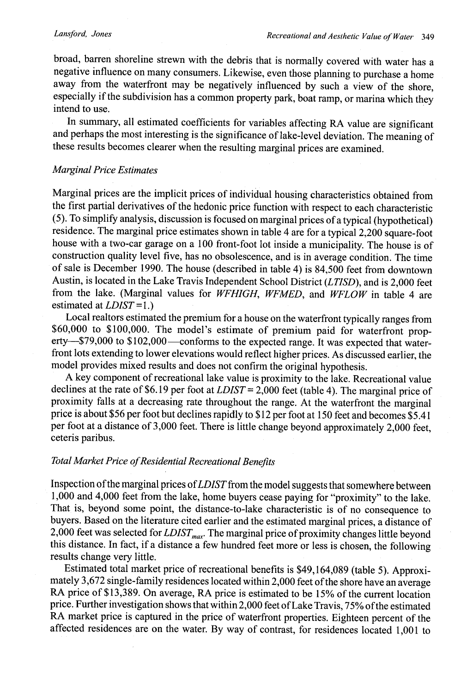#### *Lansford, Jones*

broad, barren shoreline strewn with the debris that is normally covered with water has a negative influence on many consumers. Likewise, even those planning to purchase a home away from the waterfront may be negatively influenced by such a view of the shore, especially if the subdivision has a common property park, boat ramp, or marina which they intend to use.

In summary, all estimated coefficients for variables affecting RA value are significant and perhaps the most interesting is the significance of lake-level deviation. The meaning of these results becomes clearer when the resulting marginal prices are examined.

## *Marginal Price Estimates*

Marginal prices are the implicit prices of individual housing characteristics obtained from the first partial derivatives of the hedonic price function with respect to each characteristic (5). To simplify analysis, discussion is focused on marginal prices of a typical (hypothetical) residence. The marginal price estimates shown in table 4 are for a typical 2,200 square-foot house with a two-car garage on a 100 front-foot lot inside a municipality. The house is of construction quality level five, has no obsolescence, and is in average condition. The time of sale is December 1990. The house (described in table 4) is 84,500 feet from downtown Austin, is located in the Lake Travis Independent School District *(LTISD),* and is 2,000 feet from the lake. (Marginal values for *WFHIGH, WFMED,* and *WFLOW* in table 4 are estimated at *LDIST =* 1.)

Local realtors estimated the premium for a house on the waterfront typically ranges from \$60,000 to \$100,000. The model's estimate of premium paid for waterfront property-\$79,000 to \$102,000-conforms to the expected range. It was expected that waterfront lots extending to lower elevations would reflect higher prices. As discussed earlier, the model provides mixed results and does not confirm the original hypothesis.

A key component of recreational lake value is proximity to the lake. Recreational value declines at the rate of \$6.19 per foot at *LDIST =* 2,000 feet (table 4). The marginal price of proximity falls at a decreasing rate throughout the range. At the waterfront the marginal price is about \$56 per foot but declines rapidly to \$12 per foot at 150 feet and becomes \$5.41 per foot at a distance of 3,000 feet. There is little change beyond approximately 2,000 feet, ceteris paribus.

## *Total Market Price ofResidential Recreational Benefits*

Inspection of the marginal prices of *LDIST* from the model suggests that somewhere between 1,000 and 4,000 feet from the lake, home buyers cease paying for "proximity" to the lake. That is, beyond some point, the distance-to-lake characteristic is of no consequence to buyers. Based on the literature cited earlier and the estimated marginal prices, a distance of 2,000 feet was selected for *LDIST<sub>max</sub>*. The marginal price of proximity changes little beyond this distance. In fact, if a distance a few hundred feet more or less is chosen, the following results change very little.

Estimated total market price of recreational benefits is \$49,164,089 (table 5). Approximately 3,672 single-family residences located within 2,000 feet of the shore have an average RA price of \$13,389. On average, RA price is estimated to be 15% of the current location price. Further investigation shows that within 2,000 feet of Lake Travis, 75% of the estimated RA market price is captured in the price of waterfront properties. Eighteen percent of the affected residences are on the water. By way of contrast, for residences located 1,001 to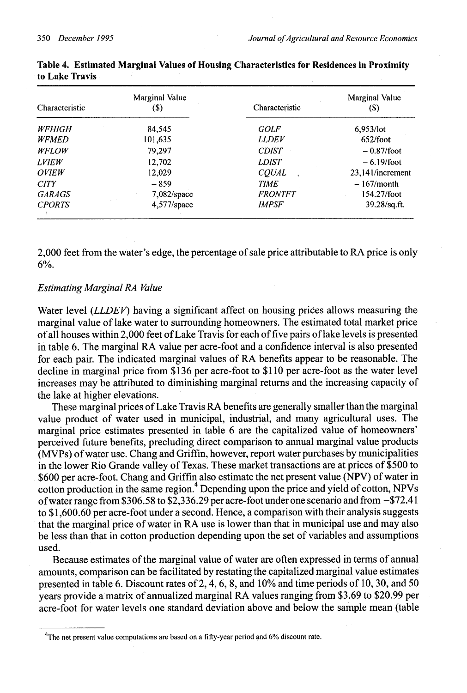| Characteristic      | Marginal Value<br>(\$) | Characteristic | Marginal Value<br>(S) |
|---------------------|------------------------|----------------|-----------------------|
| <b>WFHIGH</b>       | 84,545                 | GOLF           | $6,953$ /lot          |
| <b>WFMED</b>        | 101,635                | <b>LLDEV</b>   | 652/foot              |
| <b>WFLOW</b>        | 79.297                 | <b>CDIST</b>   | $-0.87$ /foot         |
| <b>LVIEW</b>        | 12,702                 | <b>LDIST</b>   | $-6.19/foot$          |
| <i><b>OVIEW</b></i> | 12.029                 | <b>COUAL</b>   | 23.141/increment      |
| <b>CITY</b>         | $-859$                 | <b>TIME</b>    | $-167/m$ onth         |
| <b>GARAGS</b>       | $7,082$ /space         | <b>FRONTFT</b> | 154.27/foot           |
| <b>CPORTS</b>       | $4,577$ /space         | <b>IMPSF</b>   | 39.28/sq.ft.          |

**Table 4. Estimated Marginal Values of Housing Characteristics for Residences in Proximity to Lake Travis**

**2,000** feet from the water's edge, the percentage of sale price attributable to RA price is only 6%.

## *Estimating Marginal RA Value*

Water level *(LLDEV)* having a significant affect on housing prices allows measuring the marginal value of lake water to surrounding homeowners. The estimated total market price of all houses within 2,000 feet of Lake Travis for each of five pairs of lake levels is presented in table 6. The marginal RA value per acre-foot and a confidence interval is also presented for each pair. The indicated marginal values of RA benefits appear to be reasonable. The decline in marginal price from \$136 per acre-foot to \$110 per acre-foot as the water level increases may be attributed to diminishing marginal returns and the increasing capacity of the lake at higher elevations.

These marginal prices of Lake Travis RA benefits are generally smaller than the marginal value product of water used in municipal, industrial, and many agricultural uses. The marginal price estimates presented in table 6 are the capitalized value of homeowners' perceived future benefits, precluding direct comparison to annual marginal value products (MVPs) of water use. Chang and Griffin, however, report water purchases by municipalities in the lower Rio Grande valley of Texas. These market transactions are at prices of \$500 to \$600 per acre-foot. Chang and Griffin also estimate the net present value (NPV) of water in cotton production in the same region.<sup>4</sup> Depending upon the price and yield of cotton, NPVs of water range from \$306.58 to \$2,336.29 per acre-foot under one scenario and from -\$72.41 to \$1,600.60 per acre-foot under a second. Hence, a comparison with their analysis suggests that the marginal price of water in RA use is lower than that in municipal use and may also be less than that in cotton production depending upon the set of variables and assumptions used.

Because estimates of the marginal value of water are often expressed in terms of annual amounts, comparison can be facilitated by restating the capitalized marginal value estimates presented in table 6. Discount rates of 2, 4, 6, 8, and 10% and time periods of 10, 30, and 50 years provide a matrix of annualized marginal RA values ranging from \$3.69 to \$20.99 per acre-foot for water levels one standard deviation above and below the sample mean (table

<sup>&</sup>lt;sup>4</sup>The net present value computations are based on a fifty-year period and 6% discount rate.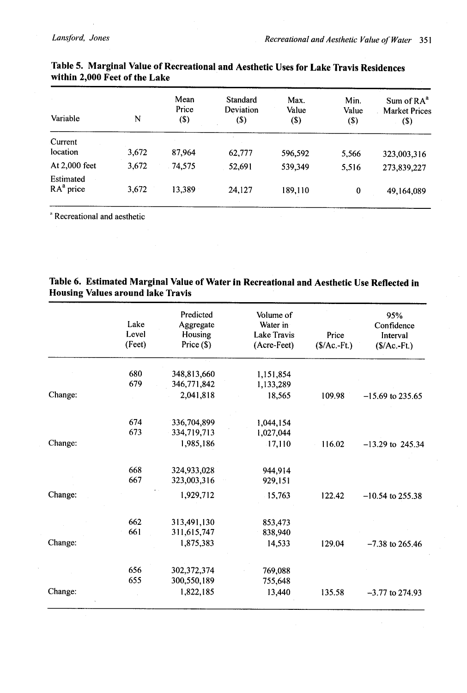| Variable                 | N     | Mean<br>Price<br>$($)$ | Standard<br>Deviation<br>(\$) | Max.<br>Value<br>(\$) | Min.<br>Value<br>(3) | Sum of $RA^a$<br><b>Market Prices</b><br>$\left( \text{\$}\right)$ |
|--------------------------|-------|------------------------|-------------------------------|-----------------------|----------------------|--------------------------------------------------------------------|
| Current                  |       |                        |                               |                       |                      |                                                                    |
| location                 | 3,672 | 87,964                 | 62,777                        | 596,592               | 5,566                | 323,003,316                                                        |
| At 2,000 feet            | 3.672 | 74,575                 | 52,691                        | 539,349               | 5,516                | 273,839,227                                                        |
| Estimated<br>$RAa$ price | 3,672 | 13,389                 | 24,127                        | 189,110               | 0                    | 49,164,089                                                         |

# **Table 5. Marginal Value of Recreational and Aesthetic Uses for Lake Travis Residences within 2,000 Feet of the Lake**

Recreational and aesthetic

# **Table 6. Estimated Marginal Value of Water in Recreational and Aesthetic Use Reflected in Housing Values around lake Travis**

|         | Lake<br>Level<br>(Feet) | Predicted<br>Aggregate<br>Housing<br>Price $(S)$ | Volume of<br>Water in<br>Lake Travis<br>(Acre-Feet) | Price<br>$($/Ac.-Ft.)$ | 95%<br>Confidence<br>Interval<br>$(S/Ac.-Ft.)$ |
|---------|-------------------------|--------------------------------------------------|-----------------------------------------------------|------------------------|------------------------------------------------|
|         | 680                     | 348,813,660                                      | 1,151,854                                           |                        |                                                |
|         | 679                     | 346,771,842                                      | 1,133,289                                           |                        |                                                |
| Change: |                         | 2,041,818                                        | 18,565                                              | 109.98                 | $-15.69$ to 235.65                             |
|         |                         |                                                  |                                                     |                        |                                                |
|         | 674                     | 336,704,899                                      | 1,044,154                                           |                        |                                                |
|         | 673                     | 334,719,713                                      | 1,027,044                                           |                        |                                                |
| Change: |                         | 1,985,186                                        | 17,110                                              | 116.02                 | $-13.29$ to 245.34                             |
|         | 668                     | 324,933,028                                      | 944,914                                             |                        |                                                |
|         | 667                     | 323,003,316                                      | 929,151                                             |                        |                                                |
| Change: |                         | 1,929,712                                        | 15,763                                              | 122.42                 | $-10.54$ to 255.38                             |
|         | 662                     | 313,491,130                                      | 853,473                                             |                        |                                                |
|         | 661                     | 311,615,747                                      | 838,940                                             |                        |                                                |
| Change: |                         | 1,875,383                                        | 14,533                                              | 129.04                 | $-7.38$ to 265.46                              |
|         | 656                     | 302, 372, 374                                    | 769,088                                             |                        |                                                |
|         | 655                     | 300,550,189                                      | 755,648                                             |                        |                                                |
| Change: |                         | 1,822,185                                        | 13,440                                              | 135.58                 | $-3.77$ to 274.93                              |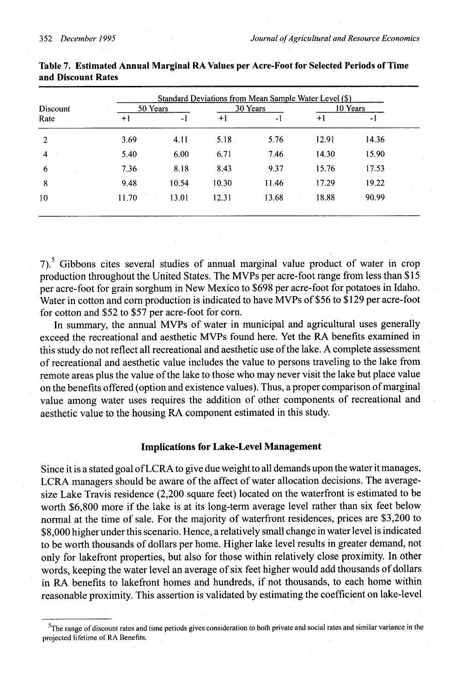| Discount<br>Rate |       | 50 Years |         | 30 Years |       | 10 Years |  |
|------------------|-------|----------|---------|----------|-------|----------|--|
|                  | $+1$  | -1       | $^{+1}$ | -1       | $+1$  | -1       |  |
| $\overline{2}$   | 3.69  | 4.11     | 5.18    | 5.76     | 12.91 | 14.36    |  |
| 4                | 5.40  | 6.00     | 6.71    | 7.46     | 14.30 | 15.90    |  |
| 6                | 7.36  | 8.18     | 8.43    | 9.37     | 15.76 | 17.53    |  |
| 8                | 9.48  | 10.54    | 10.30   | 11.46    | 17.29 | 19.22    |  |
| 10               | 11.70 | 13.01    | 12.31   | 13.68    | 18.88 | 90.99    |  |

**Table 7. Estimated Annual Marginal RA Values per Acre-Foot for Selected Periods of Time and Discount Rates**

7).<sup>5</sup> Gibbons cites several studies of annual marginal value product of water in crop production throughout the United States. The MVPs per acre-foot range from less than \$15 per acre-foot for grain sorghum in New Mexico to \$698 per acre-foot for potatoes in Idaho. Water in cotton and corn production is indicated to have MVPs of \$56 to \$129 per acre-foot for cotton and \$52 to \$57 per acre-foot for corn.

In summary, the annual MVPs of water in municipal and agricultural uses generally exceed the recreational and aesthetic MVPs found here. Yet the RA benefits examined in this study do not reflect all recreational and aesthetic use of the lake. A complete assessment of recreational and aesthetic value includes the value to persons traveling to the lake from remote areas plus the value of the lake to those who may never visit the lake but place value on the benefits offered (option and existence values). Thus, a proper comparison of marginal value among water uses requires the addition of other components of recreational and aesthetic value to the housing RA component estimated in this study.

# **Implications for Lake-Level Management**

Since it is a stated goal of LCRA to give due weight to all demands upon the water it manages, LCRA managers should be aware of the affect of water allocation decisions. The averagesize Lake Travis residence (2,200 square feet) located on the waterfront is estimated to be worth \$6,800 more if the lake is at its long-term average level rather than six feet below normal at the time of sale. For the majority of waterfront residences, prices are \$3,200 to \$8,000 higher under this scenario. Hence, a relatively small change in water level is indicated to be worth thousands of dollars per home. Higher lake level results in greater demand, not only for lakefront properties, but also for those within relatively close proximity. In other words, keeping the water level an average of six feet higher would add thousands of dollars in RA benefits to lakefront homes and hundreds, if not thousands, to each home within reasonable proximity. This assertion is validated by estimating the coefficient on lake-level

 $^5$ The range of discount rates and time periods gives consideration to both private and social rates and similar variance in the projected lifetime of RA Benefits.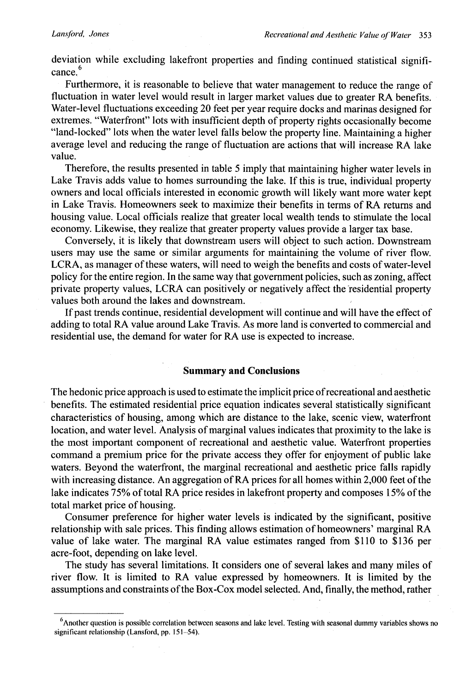deviation while excluding lakefront properties and finding continued statistical significance.

Furthermore, it is reasonable to believe that water management to reduce the range of fluctuation in water level would result in larger market values due to greater RA benefits. Water-level fluctuations exceeding 20 feet per year require docks and marinas designed for extremes. "Waterfront" lots with insufficient depth of property rights occasionally become "land-locked" lots when the water level falls below the property line. Maintaining a higher average level and reducing the range of fluctuation are actions that will increase RA lake value.

Therefore, the results presented in table 5 imply that maintaining higher water levels in Lake Travis adds value to homes surrounding the lake. If this is true, individual property owners and local officials interested in economic growth will likely want more water kept in Lake Travis. Homeowners seek to maximize their benefits in terms of RA returns and housing value. Local officials realize that greater local wealth tends to stimulate the local economy. Likewise, they realize that greater property values provide a larger tax base.

Conversely, it is likely that downstream users will object to such action. Downstream users may use the same or similar arguments for maintaining the volume of river flow. LCRA, as manager of these waters, will need to weigh the benefits and costs of water-level policy for the entire region. In the same way that government policies, such as zoning, affect private property values, LCRA can positively or negatively affect the residential property values both around the lakes and downstream.

If past trends continue, residential development will continue and will have the effect of adding to total RA value around Lake Travis. As more land is converted to commercial and residential use, the demand for water for RA use is expected to increase.

#### **Summary and Conclusions**

The hedonic price approach is used to estimate the implicit price of recreational and aesthetic benefits. The estimated residential price equation indicates several statistically significant characteristics of housing, among which are distance to the lake, scenic view, waterfront location, and water level. Analysis of marginal values indicates that proximity to the lake is the most important component of recreational and aesthetic value. Waterfront properties command a premium price for the private access they offer for enjoyment of public lake waters. Beyond the waterfront, the marginal recreational and aesthetic price falls rapidly with increasing distance. An aggregation of RA prices for all homes within 2,000 feet of the lake indicates 75% of total RA price resides in lakefront property and composes 15% of the total market price of housing.

Consumer preference for higher water levels is indicated by the significant, positive relationship with sale prices. This finding allows estimation of homeowners' marginal RA value of lake water. The marginal RA value estimates ranged from \$110 to \$136 per acre-foot, depending on lake level.

The study has several limitations. It considers one of several lakes and many miles of river flow. It is limited to RA value expressed by homeowners. It is limited by the assumptions and constraints of the Box-Cox model selected. And, finally, the method, rather

<sup>&</sup>lt;sup>6</sup> Another question is possible correlation between seasons and lake level. Testing with seasonal dummy variables shows no significant relationship (Lansford, pp. 151-54).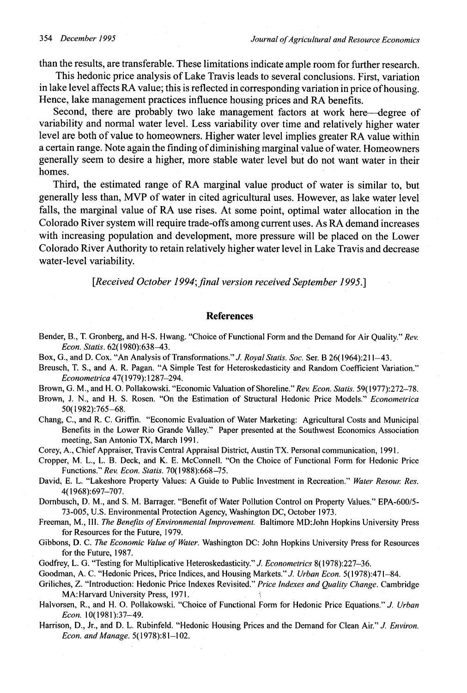than the results, are transferable. These limitations indicate ample room for further research.

This hedonic price analysis of Lake Travis leads to several conclusions. First, variation in lake level affects RA value; this is reflected in corresponding variation in price of housing. Hence, lake management practices influence housing prices and RA benefits.

Second, there are probably two lake management factors at work here-degree of variability and normal water level. Less variability over time and relatively higher water level are both of value to homeowners. Higher water level implies greater RA value within a certain range. Note again the finding of diminishing marginal value of water. Homeowners generally seem to desire a higher, more stable water level but do not want water in their homes.

Third, the estimated range of RA marginal value product of water is similar to, but generally less than, MVP of water in cited agricultural uses. However, as lake water level falls, the marginal value of RA use rises. At some point, optimal water allocation in the Colorado River system will require trade-offs among current uses. As RA demand increases with increasing population and development, more pressure will be placed on the Lower Colorado River Authority to retain relatively higher water level in Lake Travis and decrease water-level variability.

[Received October 1994; final version received September 1995.]

#### **References**

- Bender, B., T. Gronberg, and H-S. Hwang. "Choice of Functional Form and the Demand for Air Quality." *Rev. Econ. Statis.* 62(1980):638-43.
- Box, G., and D. Cox. "An Analysis of Transformations." *J. Royal Statis. Soc.* Ser. B 26(1964):211-43.
- Breusch, T. S., and A. R. Pagan. "A Simple Test for Heteroskedasticity and Random Coefficient Variation." *Econometrica* 47(1979): 1287-294.
- Brown, G. M., and H. 0. Pollakowski. "Economic Valuation of Shoreline." *Rev. Econ. Slatis.* 59(1977):272-78.
- Brown, J. N., and H. S. Rosen. "On the Estimation of Structural Hedonic Price Models." *Econometrica* 50(1982):765-68.
- Chang, C., and R. C. Griffin. "Economic Evaluation of Water Marketing: Agricultural Costs and Municipal Benefits in the Lower Rio Grande Valley." Paper presented at the Southwest Economics Association meeting, San Antonio TX, March 1991.
- Corey, A., Chief Appraiser, Travis Central Appraisal District, Austin TX. Personal communication, 1991.
- Cropper, M. L., L. B. Deck, and K. E. McConnell. "On the Choice of Functional Form for Hedonic Price Functions." *Rev. Econ. Statis.* 70(1988):668-75.
- David, E. L. "Lakeshore Property Values: A Guide to Public Investment in Recreation." *Water Resour: Res.* 4(1968):697-707.
- Dornbusch, D. M., and S. M. Barrager. "Benefit of Water Pollution Control on Property Values." EPA-600/5- 73-005, U.S. Environmental Protection Agency, Washington DC, October 1973.
- Freeman, M., III. *The Benefits of Environmental Improvement.* Baltimore MD:John Hopkins University Press for Resources for the Future, 1979.
- Gibbons, D. C. *The Economic Value of Water.* Washington DC: John Hopkins University Press for Resources for the Future, 1987.
- Godfrey, L. G. "Testing for Multiplicative Heteroskedasticity." *J. Econometrics* 8(1978):227-36.
- Goodman, A. C. "Hedonic Prices, Price Indices, and Housing Markets." J. *Urban Econ.* 5(1978):471-84.
- Griliches, Z. "Introduction: Hedonic Price Indexes Revisited." *Price Indexes and Quality Change.* Cambridge MA:Harvard University Press, 1971.
- Halvorsen, R., and H. O. Pollakowski. "Choice of Functional Form for Hedonic Price Equations." *J. Urban Econ.* 10(1981):37-49.
- Harrison, D., Jr., and D. L. Rubinfeld. "Hedonic Housing Prices and the Demand for Clean Air." *J. Environ. Econ. and Manage.* 5(1978):81-102.